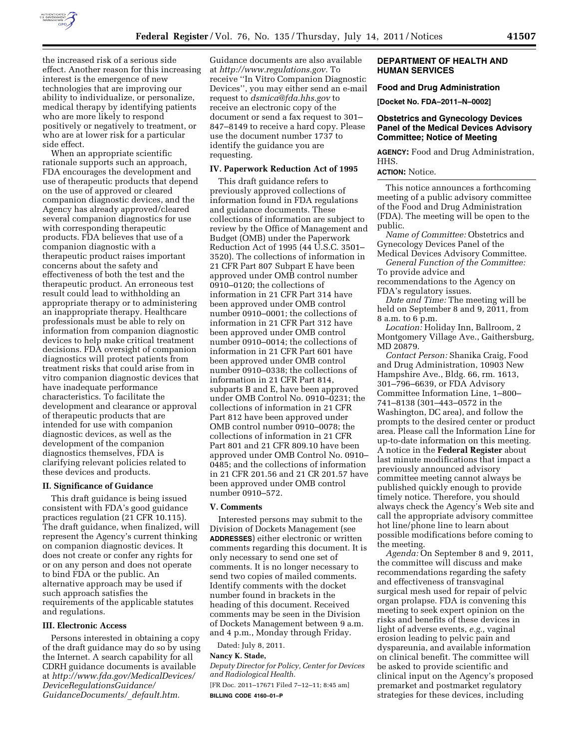

the increased risk of a serious side effect. Another reason for this increasing interest is the emergence of new technologies that are improving our ability to individualize, or personalize, medical therapy by identifying patients who are more likely to respond positively or negatively to treatment, or who are at lower risk for a particular side effect.

When an appropriate scientific rationale supports such an approach, FDA encourages the development and use of therapeutic products that depend on the use of approved or cleared companion diagnostic devices, and the Agency has already approved/cleared several companion diagnostics for use with corresponding therapeutic products. FDA believes that use of a companion diagnostic with a therapeutic product raises important concerns about the safety and effectiveness of both the test and the therapeutic product. An erroneous test result could lead to withholding an appropriate therapy or to administering an inappropriate therapy. Healthcare professionals must be able to rely on information from companion diagnostic devices to help make critical treatment decisions. FDA oversight of companion diagnostics will protect patients from treatment risks that could arise from in vitro companion diagnostic devices that have inadequate performance characteristics. To facilitate the development and clearance or approval of therapeutic products that are intended for use with companion diagnostic devices, as well as the development of the companion diagnostics themselves, FDA is clarifying relevant policies related to these devices and products.

#### **II. Significance of Guidance**

This draft guidance is being issued consistent with FDA's good guidance practices regulation (21 CFR 10.115). The draft guidance, when finalized, will represent the Agency's current thinking on companion diagnostic devices. It does not create or confer any rights for or on any person and does not operate to bind FDA or the public. An alternative approach may be used if such approach satisfies the requirements of the applicable statutes and regulations.

#### **III. Electronic Access**

Persons interested in obtaining a copy of the draft guidance may do so by using the Internet. A search capability for all CDRH guidance documents is available at *[http://www.fda.gov/MedicalDevices/](http://www.fda.gov/MedicalDevices/DeviceRegulationsGuidance/GuidanceDocuments/_default.htm) [DeviceRegulationsGuidance/](http://www.fda.gov/MedicalDevices/DeviceRegulationsGuidance/GuidanceDocuments/_default.htm)  [GuidanceDocuments/](http://www.fda.gov/MedicalDevices/DeviceRegulationsGuidance/GuidanceDocuments/_default.htm)*\_*default.htm.* 

Guidance documents are also available at *[http://www.regulations.gov.](http://www.regulations.gov)* To receive ''In Vitro Companion Diagnostic Devices'', you may either send an e-mail request to *[dsmica@fda.hhs.gov](mailto:dsmica@fda.hhs.gov)* to receive an electronic copy of the document or send a fax request to 301– 847–8149 to receive a hard copy. Please use the document number 1737 to identify the guidance you are requesting.

#### **IV. Paperwork Reduction Act of 1995**

This draft guidance refers to previously approved collections of information found in FDA regulations and guidance documents. These collections of information are subject to review by the Office of Management and Budget (OMB) under the Paperwork Reduction Act of 1995 (44 U.S.C. 3501– 3520). The collections of information in 21 CFR Part 807 Subpart E have been approved under OMB control number 0910–0120; the collections of information in 21 CFR Part 314 have been approved under OMB control number 0910–0001; the collections of information in 21 CFR Part 312 have been approved under OMB control number 0910–0014; the collections of information in 21 CFR Part 601 have been approved under OMB control number 0910–0338; the collections of information in 21 CFR Part 814, subparts B and E, have been approved under OMB Control No. 0910–0231; the collections of information in 21 CFR Part 812 have been approved under OMB control number 0910–0078; the collections of information in 21 CFR Part 801 and 21 CFR 809.10 have been approved under OMB Control No. 0910– 0485; and the collections of information in 21 CFR 201.56 and 21 CR 201.57 have been approved under OMB control number 0910–572.

#### **V. Comments**

Interested persons may submit to the Division of Dockets Management (see **ADDRESSES**) either electronic or written comments regarding this document. It is only necessary to send one set of comments. It is no longer necessary to send two copies of mailed comments. Identify comments with the docket number found in brackets in the heading of this document. Received comments may be seen in the Division of Dockets Management between 9 a.m. and 4 p.m., Monday through Friday.

Dated: July 8, 2011.

# **Nancy K. Stade,**

*Deputy Director for Policy, Center for Devices and Radiological Health.*  [FR Doc. 2011–17671 Filed 7–12–11; 8:45 am]

**BILLING CODE 4160–01–P** 

## **DEPARTMENT OF HEALTH AND HUMAN SERVICES**

#### **Food and Drug Administration**

**[Docket No. FDA–2011–N–0002]** 

# **Obstetrics and Gynecology Devices Panel of the Medical Devices Advisory Committee; Notice of Meeting**

**AGENCY:** Food and Drug Administration, HHS.

# **ACTION:** Notice.

This notice announces a forthcoming meeting of a public advisory committee of the Food and Drug Administration (FDA). The meeting will be open to the public.

*Name of Committee:* Obstetrics and Gynecology Devices Panel of the

Medical Devices Advisory Committee. *General Function of the Committee:*  To provide advice and

recommendations to the Agency on FDA's regulatory issues.

*Date and Time:* The meeting will be held on September 8 and 9, 2011, from 8 a.m. to 6 p.m.

*Location:* Holiday Inn, Ballroom, 2 Montgomery Village Ave., Gaithersburg, MD 20879.

*Contact Person:* Shanika Craig, Food and Drug Administration, 10903 New Hampshire Ave., Bldg. 66, rm. 1613, 301–796–6639, or FDA Advisory Committee Information Line, 1–800– 741–8138 (301–443–0572 in the Washington, DC area), and follow the prompts to the desired center or product area. Please call the Information Line for up-to-date information on this meeting. A notice in the **Federal Register** about last minute modifications that impact a previously announced advisory committee meeting cannot always be published quickly enough to provide timely notice. Therefore, you should always check the Agency's Web site and call the appropriate advisory committee hot line/phone line to learn about possible modifications before coming to the meeting.

*Agenda:* On September 8 and 9, 2011, the committee will discuss and make recommendations regarding the safety and effectiveness of transvaginal surgical mesh used for repair of pelvic organ prolapse. FDA is convening this meeting to seek expert opinion on the risks and benefits of these devices in light of adverse events, *e.g.,* vaginal erosion leading to pelvic pain and dyspareunia, and available information on clinical benefit. The committee will be asked to provide scientific and clinical input on the Agency's proposed premarket and postmarket regulatory strategies for these devices, including